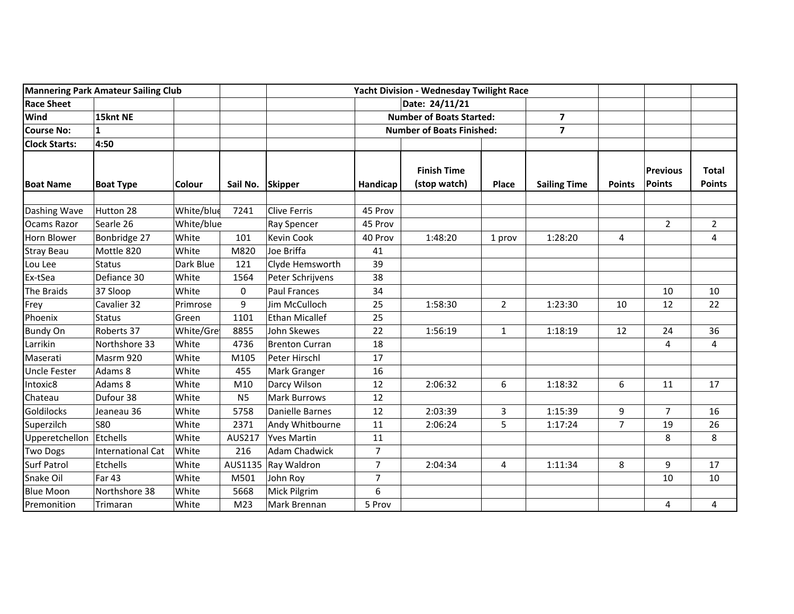| Mannering Park Amateur Sailing Club |                          |            | <b>Yacht Division - Wednesday Twilight Race</b> |                       |                |                                    |                |                         |                |                                  |                               |
|-------------------------------------|--------------------------|------------|-------------------------------------------------|-----------------------|----------------|------------------------------------|----------------|-------------------------|----------------|----------------------------------|-------------------------------|
| <b>Race Sheet</b>                   |                          |            |                                                 | Date: 24/11/21        |                |                                    |                |                         |                |                                  |                               |
| Wind                                | 15knt NE                 |            |                                                 |                       |                | <b>Number of Boats Started:</b>    |                | $\overline{\mathbf{z}}$ |                |                                  |                               |
| <b>Course No:</b>                   | $\mathbf{1}$             |            |                                                 |                       |                | <b>Number of Boats Finished:</b>   |                | $\overline{\mathbf{z}}$ |                |                                  |                               |
| <b>Clock Starts:</b>                | 4:50                     |            |                                                 |                       |                |                                    |                |                         |                |                                  |                               |
| <b>Boat Name</b>                    | <b>Boat Type</b>         | Colour     | Sail No. Skipper                                |                       | Handicap       | <b>Finish Time</b><br>(stop watch) | Place          | <b>Sailing Time</b>     | <b>Points</b>  | <b>Previous</b><br><b>Points</b> | <b>Total</b><br><b>Points</b> |
| Dashing Wave                        | Hutton 28                | White/blue | 7241                                            | <b>Clive Ferris</b>   | 45 Prov        |                                    |                |                         |                |                                  |                               |
| <b>Ocams Razor</b>                  | Searle 26                | White/blue |                                                 | <b>Ray Spencer</b>    | 45 Prov        |                                    |                |                         |                | $\overline{2}$                   | $\overline{2}$                |
| Horn Blower                         | Bonbridge 27             | White      | 101                                             | <b>Kevin Cook</b>     | 40 Prov        | 1:48:20                            | 1 prov         | 1:28:20                 | 4              |                                  | 4                             |
| <b>Stray Beau</b>                   | Mottle 820               | White      | M820                                            | Joe Briffa            | 41             |                                    |                |                         |                |                                  |                               |
| Lou Lee                             | <b>Status</b>            | Dark Blue  | 121                                             | Clyde Hemsworth       | 39             |                                    |                |                         |                |                                  |                               |
| Ex-tSea                             | Defiance 30              | White      | 1564                                            | Peter Schrijvens      | 38             |                                    |                |                         |                |                                  |                               |
| The Braids                          | 37 Sloop                 | White      | 0                                               | <b>Paul Frances</b>   | 34             |                                    |                |                         |                | 10                               | 10                            |
| Frey                                | Cavalier 32              | Primrose   | 9                                               | Jim McCulloch         | 25             | 1:58:30                            | $\overline{2}$ | 1:23:30                 | 10             | 12                               | 22                            |
| Phoenix                             | <b>Status</b>            | Green      | 1101                                            | <b>Ethan Micallef</b> | 25             |                                    |                |                         |                |                                  |                               |
| <b>Bundy On</b>                     | Roberts 37               | White/Gre  | 8855                                            | John Skewes           | 22             | 1:56:19                            | $\mathbf{1}$   | 1:18:19                 | 12             | 24                               | 36                            |
| Larrikin                            | Northshore 33            | White      | 4736                                            | <b>Brenton Curran</b> | 18             |                                    |                |                         |                | 4                                | $\overline{4}$                |
| Maserati                            | Masrm 920                | White      | M105                                            | Peter Hirschl         | 17             |                                    |                |                         |                |                                  |                               |
| Uncle Fester                        | Adams 8                  | White      | 455                                             | Mark Granger          | 16             |                                    |                |                         |                |                                  |                               |
| Intoxic8                            | Adams 8                  | White      | M10                                             | Darcy Wilson          | 12             | 2:06:32                            | 6              | 1:18:32                 | 6              | 11                               | 17                            |
| Chateau                             | Dufour 38                | White      | N <sub>5</sub>                                  | <b>Mark Burrows</b>   | 12             |                                    |                |                         |                |                                  |                               |
| Goldilocks                          | Jeaneau 36               | White      | 5758                                            | Danielle Barnes       | 12             | 2:03:39                            | 3              | 1:15:39                 | 9              | 7                                | 16                            |
| Superzilch                          | <b>S80</b>               | White      | 2371                                            | Andy Whitbourne       | 11             | 2:06:24                            | 5              | 1:17:24                 | $\overline{7}$ | 19                               | 26                            |
| Upperetchellon                      | Etchells                 | White      | AUS217                                          | <b>Yves Martin</b>    | 11             |                                    |                |                         |                | 8                                | 8                             |
| <b>Two Dogs</b>                     | <b>International Cat</b> | White      | 216                                             | <b>Adam Chadwick</b>  | 7              |                                    |                |                         |                |                                  |                               |
| Surf Patrol                         | Etchells                 | White      | AUS1135                                         | Ray Waldron           | $\overline{7}$ | 2:04:34                            | 4              | 1:11:34                 | 8              | 9                                | 17                            |
| Snake Oil                           | Far 43                   | White      | M501                                            | John Roy              | $\overline{7}$ |                                    |                |                         |                | 10                               | 10                            |
| <b>Blue Moon</b>                    | Northshore 38            | White      | 5668                                            | Mick Pilgrim          | 6              |                                    |                |                         |                |                                  |                               |
| Premonition                         | Trimaran                 | White      | M <sub>23</sub>                                 | Mark Brennan          | 5 Prov         |                                    |                |                         |                | 4                                | 4                             |